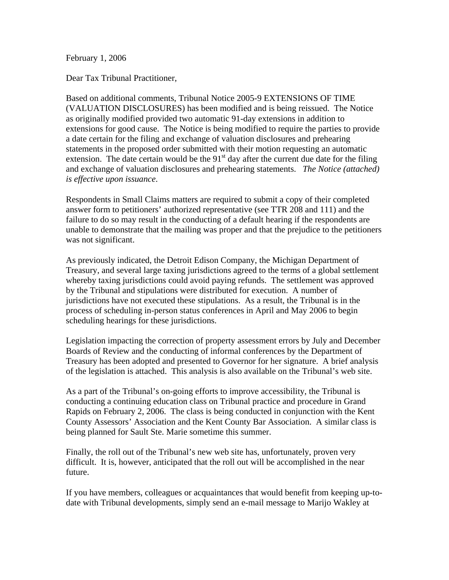February 1, 2006

Dear Tax Tribunal Practitioner,

Based on additional comments, Tribunal Notice 2005-9 EXTENSIONS OF TIME (VALUATION DISCLOSURES) has been modified and is being reissued. The Notice as originally modified provided two automatic 91-day extensions in addition to extensions for good cause. The Notice is being modified to require the parties to provide a date certain for the filing and exchange of valuation disclosures and prehearing statements in the proposed order submitted with their motion requesting an automatic extension. The date certain would be the  $91<sup>st</sup>$  day after the current due date for the filing and exchange of valuation disclosures and prehearing statements. *The Notice (attached) is effective upon issuance*.

Respondents in Small Claims matters are required to submit a copy of their completed answer form to petitioners' authorized representative (see TTR 208 and 111) and the failure to do so may result in the conducting of a default hearing if the respondents are unable to demonstrate that the mailing was proper and that the prejudice to the petitioners was not significant.

As previously indicated, the Detroit Edison Company, the Michigan Department of Treasury, and several large taxing jurisdictions agreed to the terms of a global settlement whereby taxing jurisdictions could avoid paying refunds. The settlement was approved by the Tribunal and stipulations were distributed for execution. A number of jurisdictions have not executed these stipulations. As a result, the Tribunal is in the process of scheduling in-person status conferences in April and May 2006 to begin scheduling hearings for these jurisdictions.

Legislation impacting the correction of property assessment errors by July and December Boards of Review and the conducting of informal conferences by the Department of Treasury has been adopted and presented to Governor for her signature. A brief analysis of the legislation is attached. This analysis is also available on the Tribunal's web site.

As a part of the Tribunal's on-going efforts to improve accessibility, the Tribunal is conducting a continuing education class on Tribunal practice and procedure in Grand Rapids on February 2, 2006. The class is being conducted in conjunction with the Kent County Assessors' Association and the Kent County Bar Association. A similar class is being planned for Sault Ste. Marie sometime this summer.

Finally, the roll out of the Tribunal's new web site has, unfortunately, proven very difficult. It is, however, anticipated that the roll out will be accomplished in the near future.

If you have members, colleagues or acquaintances that would benefit from keeping up-todate with Tribunal developments, simply send an e-mail message to Marijo Wakley at